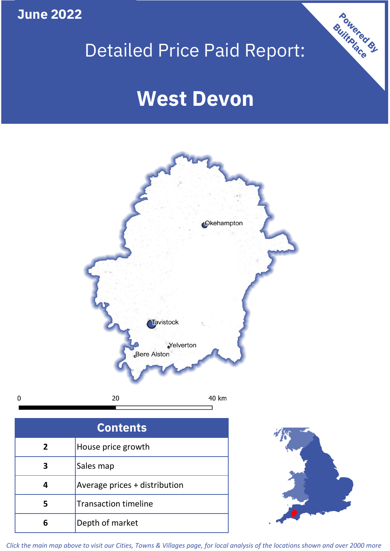**June 2022**

**5**

**4**

 $\mathbf 0$ 

# Detailed Price Paid Report:

Powered By

# **West Devon**



*Click the main map above to visit our Cities, Towns & Villages page, for local analysis of the locations shown and over 2000 more*

Average prices + distribution

Transaction timeline

**6** Depth of market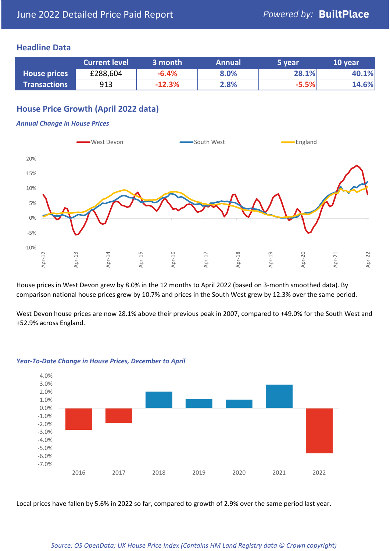# **Headline Data**

|                     | <b>Current level</b> | 3 month  | <b>Annual</b> | '5 vear | 10 year |
|---------------------|----------------------|----------|---------------|---------|---------|
| <b>House prices</b> | £288,604             | $-6.4%$  | 8.0%          | 28.1%   | 40.1%   |
| <b>Transactions</b> | 913                  | $-12.3%$ | 2.8%          | $-5.5%$ | 14.6%   |

# **House Price Growth (April 2022 data)**

#### *Annual Change in House Prices*



House prices in West Devon grew by 8.0% in the 12 months to April 2022 (based on 3-month smoothed data). By comparison national house prices grew by 10.7% and prices in the South West grew by 12.3% over the same period.

West Devon house prices are now 28.1% above their previous peak in 2007, compared to +49.0% for the South West and +52.9% across England.



#### *Year-To-Date Change in House Prices, December to April*

Local prices have fallen by 5.6% in 2022 so far, compared to growth of 2.9% over the same period last year.

#### *Source: OS OpenData; UK House Price Index (Contains HM Land Registry data © Crown copyright)*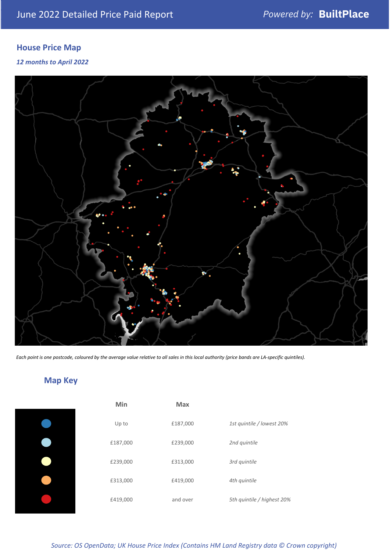# **House Price Map**

### *12 months to April 2022*



*Each point is one postcode, coloured by the average value relative to all sales in this local authority (price bands are LA-specific quintiles).*

# **Map Key**

| Min      | <b>Max</b> |                            |
|----------|------------|----------------------------|
| Up to    | £187,000   | 1st quintile / lowest 20%  |
| £187,000 | £239,000   | 2nd quintile               |
| £239,000 | £313,000   | 3rd quintile               |
| £313,000 | £419,000   | 4th quintile               |
| £419,000 | and over   | 5th quintile / highest 20% |

#### *Source: OS OpenData; UK House Price Index (Contains HM Land Registry data © Crown copyright)*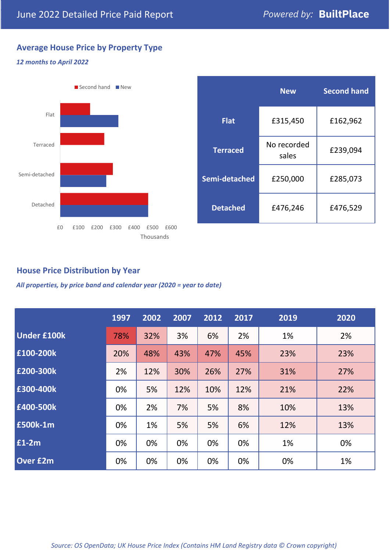# **Average House Price by Property Type**

## *12 months to April 2022*



|                 | <b>New</b>           | <b>Second hand</b> |  |
|-----------------|----------------------|--------------------|--|
| <b>Flat</b>     | £315,450             | £162,962           |  |
| <b>Terraced</b> | No recorded<br>sales | £239,094           |  |
| Semi-detached   | £250,000             | £285,073           |  |
| <b>Detached</b> | £476,246             | £476,529           |  |

# **House Price Distribution by Year**

*All properties, by price band and calendar year (2020 = year to date)*

|                    | 1997 | 2002 | 2007 | 2012 | 2017 | 2019 | 2020 |
|--------------------|------|------|------|------|------|------|------|
| <b>Under £100k</b> | 78%  | 32%  | 3%   | 6%   | 2%   | 1%   | 2%   |
| £100-200k          | 20%  | 48%  | 43%  | 47%  | 45%  | 23%  | 23%  |
| E200-300k          | 2%   | 12%  | 30%  | 26%  | 27%  | 31%  | 27%  |
| £300-400k          | 0%   | 5%   | 12%  | 10%  | 12%  | 21%  | 22%  |
| £400-500k          | 0%   | 2%   | 7%   | 5%   | 8%   | 10%  | 13%  |
| <b>£500k-1m</b>    | 0%   | 1%   | 5%   | 5%   | 6%   | 12%  | 13%  |
| £1-2m              | 0%   | 0%   | 0%   | 0%   | 0%   | 1%   | 0%   |
| <b>Over £2m</b>    | 0%   | 0%   | 0%   | 0%   | 0%   | 0%   | 1%   |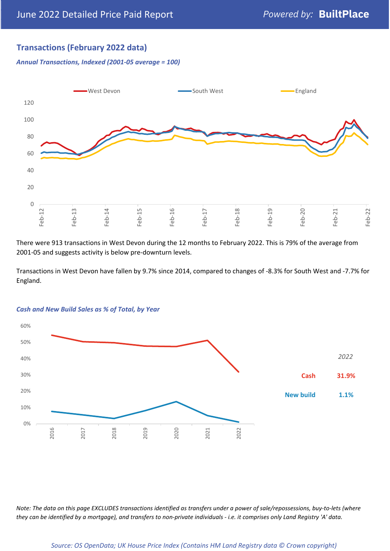# **Transactions (February 2022 data)**

*Annual Transactions, Indexed (2001-05 average = 100)*



There were 913 transactions in West Devon during the 12 months to February 2022. This is 79% of the average from 2001-05 and suggests activity is below pre-downturn levels.

Transactions in West Devon have fallen by 9.7% since 2014, compared to changes of -8.3% for South West and -7.7% for England.



#### *Cash and New Build Sales as % of Total, by Year*

*Note: The data on this page EXCLUDES transactions identified as transfers under a power of sale/repossessions, buy-to-lets (where they can be identified by a mortgage), and transfers to non-private individuals - i.e. it comprises only Land Registry 'A' data.*